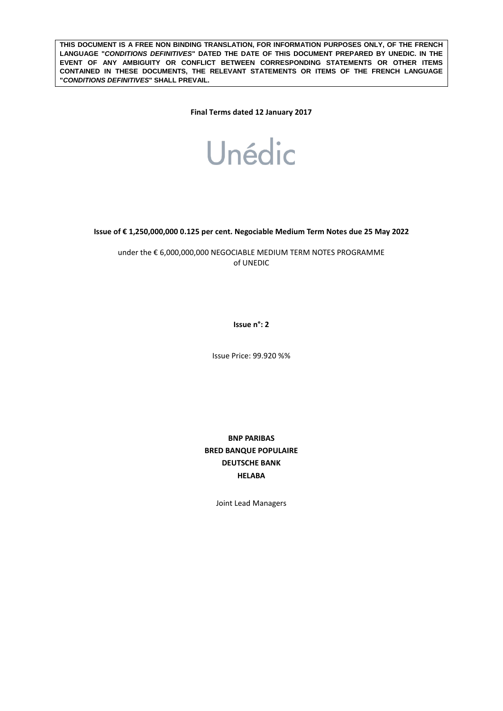**THIS DOCUMENT IS A FREE NON BINDING TRANSLATION, FOR INFORMATION PURPOSES ONLY, OF THE FRENCH LANGUAGE "***CONDITIONS DEFINITIVES***" DATED THE DATE OF THIS DOCUMENT PREPARED BY UNEDIC. IN THE EVENT OF ANY AMBIGUITY OR CONFLICT BETWEEN CORRESPONDING STATEMENTS OR OTHER ITEMS CONTAINED IN THESE DOCUMENTS, THE RELEVANT STATEMENTS OR ITEMS OF THE FRENCH LANGUAGE "***CONDITIONS DEFINITIVES***" SHALL PREVAIL.** 

**Final Terms dated 12 January 2017**



**Issue of € 1,250,000,000 0.125 per cent. Negociable Medium Term Notes due 25 May 2022**

under the € 6,000,000,000 NEGOCIABLE MEDIUM TERM NOTES PROGRAMME of UNEDIC

**Issue n°: 2**

Issue Price: 99.920 %%

**BNP PARIBAS BRED BANQUE POPULAIRE DEUTSCHE BANK HELABA**

Joint Lead Managers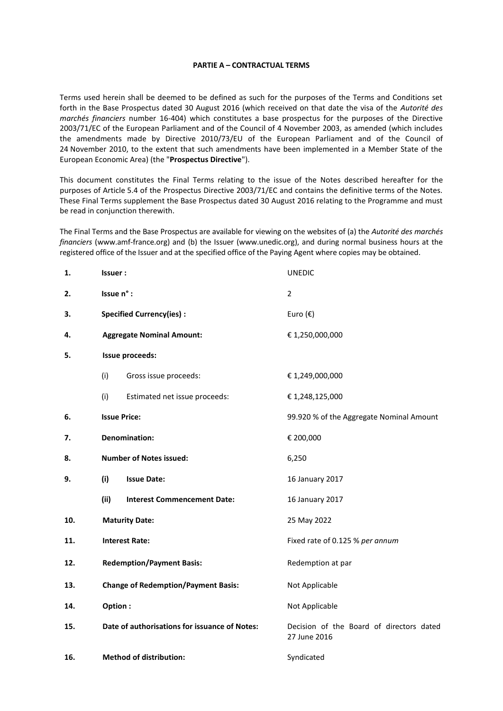#### **PARTIE A – CONTRACTUAL TERMS**

Terms used herein shall be deemed to be defined as such for the purposes of the Terms and Conditions set forth in the Base Prospectus dated 30 August 2016 (which received on that date the visa of the *Autorité des marchés financiers* number 16-404) which constitutes a base prospectus for the purposes of the Directive 2003/71/EC of the European Parliament and of the Council of 4 November 2003, as amended (which includes the amendments made by Directive 2010/73/EU of the European Parliament and of the Council of 24 November 2010, to the extent that such amendments have been implemented in a Member State of the European Economic Area) (the "**Prospectus Directive**").

This document constitutes the Final Terms relating to the issue of the Notes described hereafter for the purposes of Article 5.4 of the Prospectus Directive 2003/71/EC and contains the definitive terms of the Notes. These Final Terms supplement the Base Prospectus dated 30 August 2016 relating to the Programme and must be read in conjunction therewith.

The Final Terms and the Base Prospectus are available for viewing on the websites of (a) the *Autorité des marchés financiers* (www.amf-france.org) and (b) the Issuer (www.unedic.org), and during normal business hours at the registered office of the Issuer and at the specified office of the Paying Agent where copies may be obtained.

| 1.  | Issuer:                                       | <b>UNEDIC</b>                                            |
|-----|-----------------------------------------------|----------------------------------------------------------|
| 2.  | Issue n° :                                    | $\overline{2}$                                           |
| 3.  | <b>Specified Currency(ies):</b>               | Euro $(\epsilon)$                                        |
| 4.  | <b>Aggregate Nominal Amount:</b>              | € 1,250,000,000                                          |
| 5.  | Issue proceeds:                               |                                                          |
|     | (i)<br>Gross issue proceeds:                  | € 1,249,000,000                                          |
|     | (i)<br>Estimated net issue proceeds:          | € 1,248,125,000                                          |
| 6.  | <b>Issue Price:</b>                           | 99.920 % of the Aggregate Nominal Amount                 |
| 7.  | <b>Denomination:</b>                          | € 200,000                                                |
| 8.  | <b>Number of Notes issued:</b>                | 6,250                                                    |
| 9.  | (i)<br><b>Issue Date:</b>                     | 16 January 2017                                          |
|     | (ii)<br><b>Interest Commencement Date:</b>    | 16 January 2017                                          |
| 10. | <b>Maturity Date:</b>                         | 25 May 2022                                              |
| 11. | <b>Interest Rate:</b>                         | Fixed rate of 0.125 % per annum                          |
| 12. | <b>Redemption/Payment Basis:</b>              | Redemption at par                                        |
| 13. | <b>Change of Redemption/Payment Basis:</b>    | Not Applicable                                           |
| 14. | Option:                                       | Not Applicable                                           |
| 15. | Date of authorisations for issuance of Notes: | Decision of the Board of directors dated<br>27 June 2016 |
| 16. | <b>Method of distribution:</b>                | Syndicated                                               |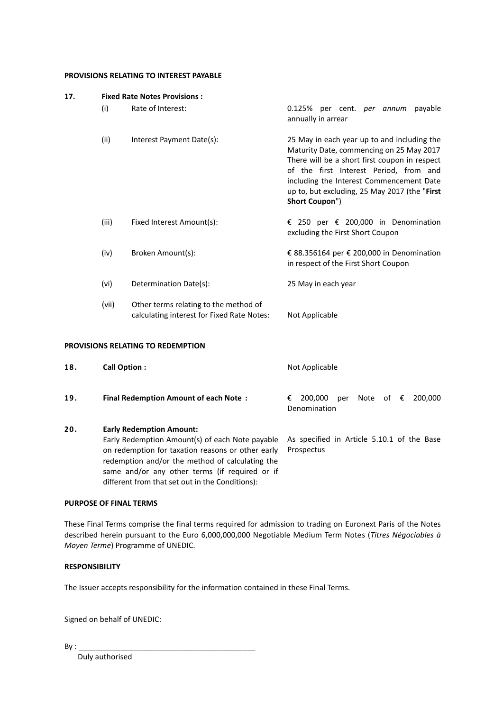#### **PROVISIONS RELATING TO INTEREST PAYABLE**

| 17. |       | <b>Fixed Rate Notes Provisions:</b>                                                 |                                                                                                                                                                                                                                                                                                   |
|-----|-------|-------------------------------------------------------------------------------------|---------------------------------------------------------------------------------------------------------------------------------------------------------------------------------------------------------------------------------------------------------------------------------------------------|
|     | (i)   | Rate of Interest:                                                                   | 0.125% per cent. <i>per annum</i> payable<br>annually in arrear                                                                                                                                                                                                                                   |
|     | (ii)  | Interest Payment Date(s):                                                           | 25 May in each year up to and including the<br>Maturity Date, commencing on 25 May 2017<br>There will be a short first coupon in respect<br>of the first Interest Period, from and<br>including the Interest Commencement Date<br>up to, but excluding, 25 May 2017 (the "First<br>Short Coupon") |
|     | (iii) | Fixed Interest Amount(s):                                                           | € 250 per € 200,000 in Denomination<br>excluding the First Short Coupon                                                                                                                                                                                                                           |
|     | (iv)  | Broken Amount(s):                                                                   | € 88.356164 per € 200,000 in Denomination<br>in respect of the First Short Coupon                                                                                                                                                                                                                 |
|     | (vi)  | Determination Date(s):                                                              | 25 May in each year                                                                                                                                                                                                                                                                               |
|     | (vii) | Other terms relating to the method of<br>calculating interest for Fixed Rate Notes: | Not Applicable                                                                                                                                                                                                                                                                                    |
|     |       | <b>PROVISIONS RELATING TO REDEMPTION</b>                                            |                                                                                                                                                                                                                                                                                                   |

| 18. | Call Option:                                                                                                                                                                                                                                                                                    | Not Applicable                                                       |
|-----|-------------------------------------------------------------------------------------------------------------------------------------------------------------------------------------------------------------------------------------------------------------------------------------------------|----------------------------------------------------------------------|
| 19. | <b>Final Redemption Amount of each Note:</b>                                                                                                                                                                                                                                                    | Note of $\epsilon$<br>200.000<br>200.000<br>€<br>per<br>Denomination |
| 20. | <b>Early Redemption Amount:</b><br>Early Redemption Amount(s) of each Note payable<br>on redemption for taxation reasons or other early<br>redemption and/or the method of calculating the<br>same and/or any other terms (if required or if<br>different from that set out in the Conditions): | As specified in Article 5.10.1 of the Base<br>Prospectus             |

## **PURPOSE OF FINAL TERMS**

These Final Terms comprise the final terms required for admission to trading on Euronext Paris of the Notes described herein pursuant to the Euro 6,000,000,000 Negotiable Medium Term Notes (*Titres Négociables à Moyen Terme*) Programme of UNEDIC.

# **RESPONSIBILITY**

The Issuer accepts responsibility for the information contained in these Final Terms.

Signed on behalf of UNEDIC:

 $By:$ 

Duly authorised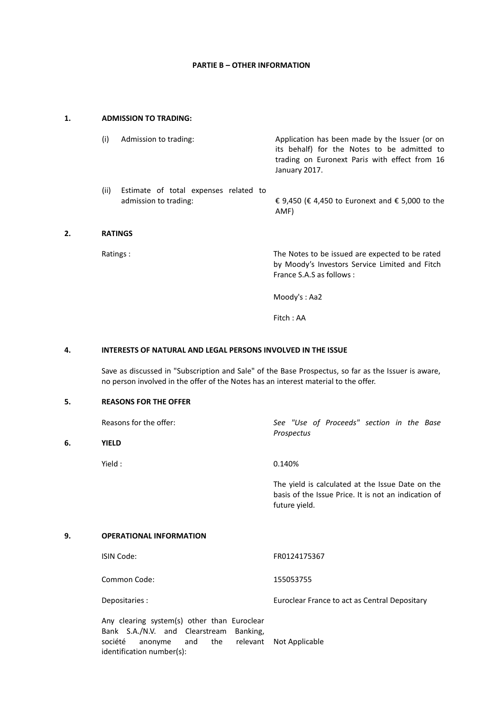## **PARTIE B – OTHER INFORMATION**

## **1. ADMISSION TO TRADING:**

| (i)            | Admission to trading:                                          | Application has been made by the Issuer (or on<br>its behalf) for the Notes to be admitted to<br>trading on Euronext Paris with effect from 16<br>January 2017. |
|----------------|----------------------------------------------------------------|-----------------------------------------------------------------------------------------------------------------------------------------------------------------|
| (ii)           | Estimate of total expenses related to<br>admission to trading: | € 9,450 (€ 4,450 to Euronext and € 5,000 to the<br>AMF)                                                                                                         |
| <b>RATINGS</b> |                                                                |                                                                                                                                                                 |

**2. RATINGS**

**6. YIELD**

Ratings : The Notes to be issued are expected to be rated by Moody's Investors Service Limited and Fitch France S.A.S as follows :

Moody's : Aa2

Fitch : AA

## **4. INTERESTS OF NATURAL AND LEGAL PERSONS INVOLVED IN THE ISSUE**

Save as discussed in "Subscription and Sale" of the Base Prospectus, so far as the Issuer is aware, no person involved in the offer of the Notes has an interest material to the offer.

### **5. REASONS FOR THE OFFER**

| Reasons for the offer: | See "Use of Proceeds" section in the Base<br>Prospectus                                                                   |
|------------------------|---------------------------------------------------------------------------------------------------------------------------|
| <b>YIELD</b>           |                                                                                                                           |
| Yield :                | 0.140%                                                                                                                    |
|                        | The yield is calculated at the Issue Date on the<br>basis of the Issue Price. It is not an indication of<br>future yield. |

#### **9. OPERATIONAL INFORMATION**

| ISIN Code:     | FR0124175367                                  |
|----------------|-----------------------------------------------|
| Common Code:   | 155053755                                     |
| Depositaries : | Euroclear France to act as Central Depositary |

Any clearing system(s) other than Euroclear Bank S.A./N.V. and Clearstream Banking, société anonyme and the relevant Not Applicableidentification number(s):